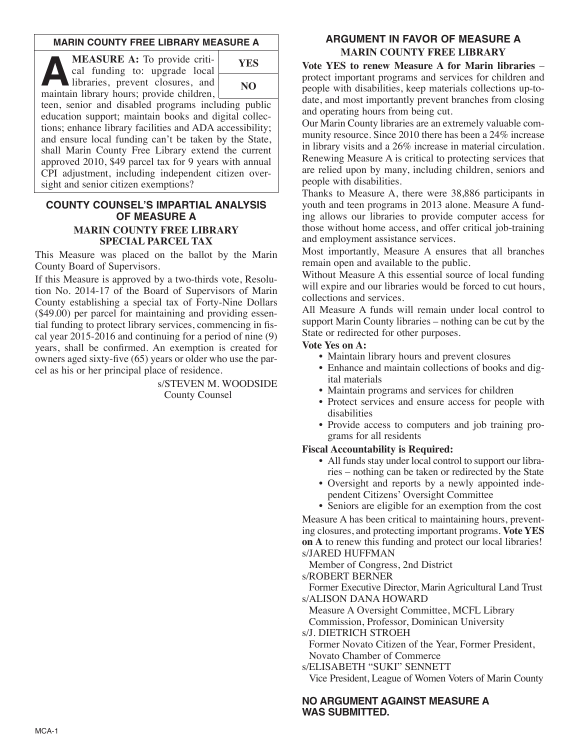## **MARIN COUNTY FREE LIBRARY MEASURE A**

**A MEASURE A:** To provide critical funding to: upgrade local libraries, prevent closures, and maintain library hours: provide children cal funding to: upgrade local maintain library hours; provide children,



teen, senior and disabled programs including public education support; maintain books and digital collections; enhance library facilities and ADA accessibility; and ensure local funding can't be taken by the State, shall Marin County Free Library extend the current approved 2010, \$49 parcel tax for 9 years with annual CPI adjustment, including independent citizen oversight and senior citizen exemptions?

### **COUNTY COUNSEL'S IMPARTIAL ANALYSIS OF MEASURE A MARIN COUNTY FREE LIBRARY SPECIAL PARCEL TAX**

This Measure was placed on the ballot by the Marin County Board of Supervisors.

If this Measure is approved by a two-thirds vote, Resolution No. 2014-17 of the Board of Supervisors of Marin County establishing a special tax of Forty-Nine Dollars (\$49.00) per parcel for maintaining and providing essential funding to protect library services, commencing in fiscal year 2015-2016 and continuing for a period of nine (9) years, shall be confirmed. An exemption is created for owners aged sixty-five (65) years or older who use the parcel as his or her principal place of residence.

> s/STEVEN M. WOODSIDE County Counsel

# **ARGUMENT IN FAVOR OF MEASURE A MARIN COUNTY FREE LIBRARY**

**Vote YES to renew Measure A for Marin libraries** – protect important programs and services for children and people with disabilities, keep materials collections up-todate, and most importantly prevent branches from closing and operating hours from being cut.

Our Marin County libraries are an extremely valuable community resource. Since 2010 there has been a 24% increase in library visits and a 26% increase in material circulation. Renewing Measure A is critical to protecting services that are relied upon by many, including children, seniors and people with disabilities.

Thanks to Measure A, there were 38,886 participants in youth and teen programs in 2013 alone. Measure A funding allows our libraries to provide computer access for those without home access, and offer critical job-training and employment assistance services.

Most importantly, Measure A ensures that all branches remain open and available to the public.

Without Measure A this essential source of local funding will expire and our libraries would be forced to cut hours, collections and services.

All Measure A funds will remain under local control to support Marin County libraries – nothing can be cut by the State or redirected for other purposes.

#### **Vote Yes on A:**

- Maintain library hours and prevent closures
- Enhance and maintain collections of books and digital materials
- Maintain programs and services for children
- Protect services and ensure access for people with disabilities
- Provide access to computers and job training programs for all residents

#### **Fiscal Accountability is Required:**

- All funds stay under local control to support our libraries – nothing can be taken or redirected by the State
- Oversight and reports by a newly appointed independent Citizens' Oversight Committee
- Seniors are eligible for an exemption from the cost

Measure A has been critical to maintaining hours, preventing closures, and protecting important programs. **Vote YES on A** to renew this funding and protect our local libraries! s/JARED HUFFMAN

Member of Congress, 2nd District

s/ROBERT BERNER

Former Executive Director, Marin Agricultural Land Trust s/ALISON DANA HOWARD

Measure A Oversight Committee, MCFL Library Commission, Professor, Dominican University

s/J. DIETRICH STROEH

Former Novato Citizen of the Year, Former President, Novato Chamber of Commerce

s/ELISABETH "SUKI" SENNETT

Vice President, League of Women Voters of Marin County

## **NO ARGUMENT AGAINST MEASURE A WAS SUBMITTED.**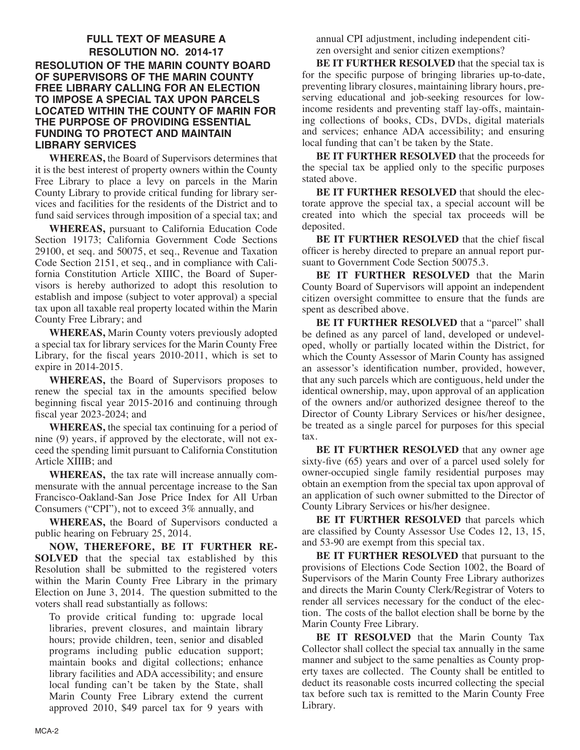## **FULL TEXT OF MEASURE A RESOLUTION NO. 2014-17 RESOLUTION OF THE MARIN COUNTY BOARD OF SUPERVISORS OF THE MARIN COUNTY FREE LIBRARY CALLING FOR AN ELECTION TO IMPOSE A SPECIAL TAX UPON PARCELS LOCATED WITHIN THE COUNTY OF MARIN FOR THE PURPOSE OF PROVIDING ESSENTIAL FUNDING TO PROTECT AND MAINTAIN LIBRARY SERVICES**

**WHEREAS,** the Board of Supervisors determines that it is the best interest of property owners within the County Free Library to place a levy on parcels in the Marin County Library to provide critical funding for library services and facilities for the residents of the District and to fund said services through imposition of a special tax; and

**WHEREAS,** pursuant to California Education Code Section 19173; California Government Code Sections 29100, et seq. and 50075, et seq., Revenue and Taxation Code Section 2151, et seq., and in compliance with California Constitution Article XIIIC, the Board of Supervisors is hereby authorized to adopt this resolution to establish and impose (subject to voter approval) a special tax upon all taxable real property located within the Marin County Free Library; and

**WHEREAS,** Marin County voters previously adopted a special tax for library services for the Marin County Free Library, for the fiscal years 2010-2011, which is set to expire in 2014-2015.

**WHEREAS,** the Board of Supervisors proposes to renew the special tax in the amounts specified below beginning fiscal year 2015-2016 and continuing through fiscal year 2023-2024; and

**WHEREAS,** the special tax continuing for a period of nine (9) years, if approved by the electorate, will not exceed the spending limit pursuant to California Constitution Article XIIIB; and

**WHEREAS,** the tax rate will increase annually commensurate with the annual percentage increase to the San Francisco-Oakland-San Jose Price Index for All Urban Consumers ("CPI"), not to exceed 3% annually, and

**WHEREAS,** the Board of Supervisors conducted a public hearing on February 25, 2014.

**NOW, THEREFORE, BE IT FURTHER RE-SOLVED** that the special tax established by this Resolution shall be submitted to the registered voters within the Marin County Free Library in the primary Election on June 3, 2014. The question submitted to the voters shall read substantially as follows:

To provide critical funding to: upgrade local libraries, prevent closures, and maintain library hours; provide children, teen, senior and disabled programs including public education support; maintain books and digital collections; enhance library facilities and ADA accessibility; and ensure local funding can't be taken by the State, shall Marin County Free Library extend the current approved 2010, \$49 parcel tax for 9 years with annual CPI adjustment, including independent citizen oversight and senior citizen exemptions?

**BE IT FURTHER RESOLVED** that the special tax is for the specific purpose of bringing libraries up-to-date, preventing library closures, maintaining library hours, preserving educational and job-seeking resources for lowincome residents and preventing staff lay-offs, maintaining collections of books, CDs, DVDs, digital materials and services; enhance ADA accessibility; and ensuring local funding that can't be taken by the State.

**BE IT FURTHER RESOLVED** that the proceeds for the special tax be applied only to the specific purposes stated above.

**BE IT FURTHER RESOLVED** that should the electorate approve the special tax, a special account will be created into which the special tax proceeds will be deposited.

**BE IT FURTHER RESOLVED** that the chief fiscal officer is hereby directed to prepare an annual report pursuant to Government Code Section 50075.3.

**BE IT FURTHER RESOLVED** that the Marin County Board of Supervisors will appoint an independent citizen oversight committee to ensure that the funds are spent as described above.

**BE IT FURTHER RESOLVED** that a "parcel" shall be defined as any parcel of land, developed or undeveloped, wholly or partially located within the District, for which the County Assessor of Marin County has assigned an assessor's identification number, provided, however, that any such parcels which are contiguous, held under the identical ownership, may, upon approval of an application of the owners and/or authorized designee thereof to the Director of County Library Services or his/her designee, be treated as a single parcel for purposes for this special tax.

**BE IT FURTHER RESOLVED** that any owner age sixty-five (65) years and over of a parcel used solely for owner-occupied single family residential purposes may obtain an exemption from the special tax upon approval of an application of such owner submitted to the Director of County Library Services or his/her designee.

**BE IT FURTHER RESOLVED** that parcels which are classified by County Assessor Use Codes 12, 13, 15, and 53-90 are exempt from this special tax.

**BE IT FURTHER RESOLVED** that pursuant to the provisions of Elections Code Section 1002, the Board of Supervisors of the Marin County Free Library authorizes and directs the Marin County Clerk/Registrar of Voters to render all services necessary for the conduct of the election. The costs of the ballot election shall be borne by the Marin County Free Library.

**BE IT RESOLVED** that the Marin County Tax Collector shall collect the special tax annually in the same manner and subject to the same penalties as County property taxes are collected. The County shall be entitled to deduct its reasonable costs incurred collecting the special tax before such tax is remitted to the Marin County Free Library.